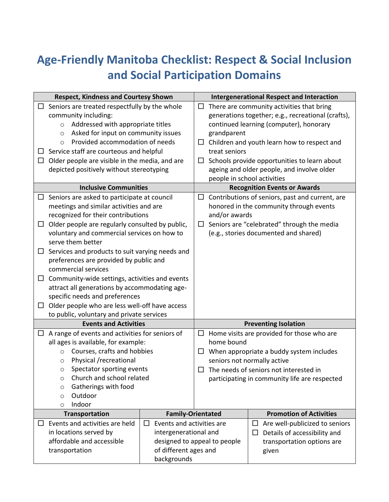## **Age-Friendly Manitoba Checklist: Respect & Social Inclusion and Social Participation Domains**

| <b>Respect, Kindness and Courtesy Shown</b> |                                                                                                                                                                                                                                                                                                                                                                                                                                                                                                                                                                                                                              |  | <b>Intergenerational Respect and Interaction</b>                                                                                                                                                                                                                                                                                                                        |                                                                                                                                                                                                                                       |                                                                                                                 |  |
|---------------------------------------------|------------------------------------------------------------------------------------------------------------------------------------------------------------------------------------------------------------------------------------------------------------------------------------------------------------------------------------------------------------------------------------------------------------------------------------------------------------------------------------------------------------------------------------------------------------------------------------------------------------------------------|--|-------------------------------------------------------------------------------------------------------------------------------------------------------------------------------------------------------------------------------------------------------------------------------------------------------------------------------------------------------------------------|---------------------------------------------------------------------------------------------------------------------------------------------------------------------------------------------------------------------------------------|-----------------------------------------------------------------------------------------------------------------|--|
| $\Box$<br>Ш                                 | Seniors are treated respectfully by the whole<br>community including:<br>Addressed with appropriate titles<br>$\circ$<br>Asked for input on community issues<br>$\circ$<br>Provided accommodation of needs<br>$\circ$<br>$\Box$ Service staff are courteous and helpful<br>Older people are visible in the media, and are<br>depicted positively without stereotyping                                                                                                                                                                                                                                                        |  | There are community activities that bring<br>□<br>generations together; e.g., recreational (crafts),<br>continued learning (computer), honorary<br>grandparent<br>$\Box$ Children and youth learn how to respect and<br>treat seniors<br>Schools provide opportunities to learn about<br>ப<br>ageing and older people, and involve older<br>people in school activities |                                                                                                                                                                                                                                       |                                                                                                                 |  |
|                                             | <b>Inclusive Communities</b>                                                                                                                                                                                                                                                                                                                                                                                                                                                                                                                                                                                                 |  |                                                                                                                                                                                                                                                                                                                                                                         | <b>Recognition Events or Awards</b>                                                                                                                                                                                                   |                                                                                                                 |  |
| Ш<br>ш<br>$\Box$                            | $\Box$ Seniors are asked to participate at council<br>meetings and similar activities and are<br>recognized for their contributions<br>Older people are regularly consulted by public,<br>voluntary and commercial services on how to<br>serve them better<br>Services and products to suit varying needs and<br>$\Box$<br>preferences are provided by public and<br>commercial services<br>Community-wide settings, activities and events<br>attract all generations by accommodating age-<br>specific needs and preferences<br>Older people who are less well-off have access<br>to public, voluntary and private services |  |                                                                                                                                                                                                                                                                                                                                                                         | Contributions of seniors, past and current, are<br>$\Box$<br>honored in the community through events<br>and/or awards<br>Seniors are "celebrated" through the media<br>$\Box$<br>(e.g., stories documented and shared)                |                                                                                                                 |  |
|                                             | <b>Events and Activities</b>                                                                                                                                                                                                                                                                                                                                                                                                                                                                                                                                                                                                 |  | <b>Preventing Isolation</b>                                                                                                                                                                                                                                                                                                                                             |                                                                                                                                                                                                                                       |                                                                                                                 |  |
|                                             | $\Box$ A range of events and activities for seniors of<br>all ages is available, for example:<br>Courses, crafts and hobbies<br>$\circ$<br>Physical /recreational<br>$\circ$<br>Spectator sporting events<br>$\circ$<br>Church and school related<br>O<br>Gatherings with food<br>$\circ$<br>Outdoor<br>$\circ$<br>Indoor<br>$\circ$                                                                                                                                                                                                                                                                                         |  | ப                                                                                                                                                                                                                                                                                                                                                                       | $\Box$ Home visits are provided for those who are<br>home bound<br>When appropriate a buddy system includes<br>seniors not normally active<br>The needs of seniors not interested in<br>participating in community life are respected |                                                                                                                 |  |
|                                             | <b>Transportation</b><br><b>Family-Orientated</b>                                                                                                                                                                                                                                                                                                                                                                                                                                                                                                                                                                            |  |                                                                                                                                                                                                                                                                                                                                                                         |                                                                                                                                                                                                                                       | <b>Promotion of Activities</b>                                                                                  |  |
| ⊔                                           | Events and activities are held<br>Events and activities are<br>ப<br>in locations served by<br>intergenerational and<br>affordable and accessible<br>designed to appeal to people<br>of different ages and<br>transportation<br>backgrounds                                                                                                                                                                                                                                                                                                                                                                                   |  |                                                                                                                                                                                                                                                                                                                                                                         |                                                                                                                                                                                                                                       | Are well-publicized to seniors<br>ப<br>Details of accessibility and<br>П<br>transportation options are<br>given |  |